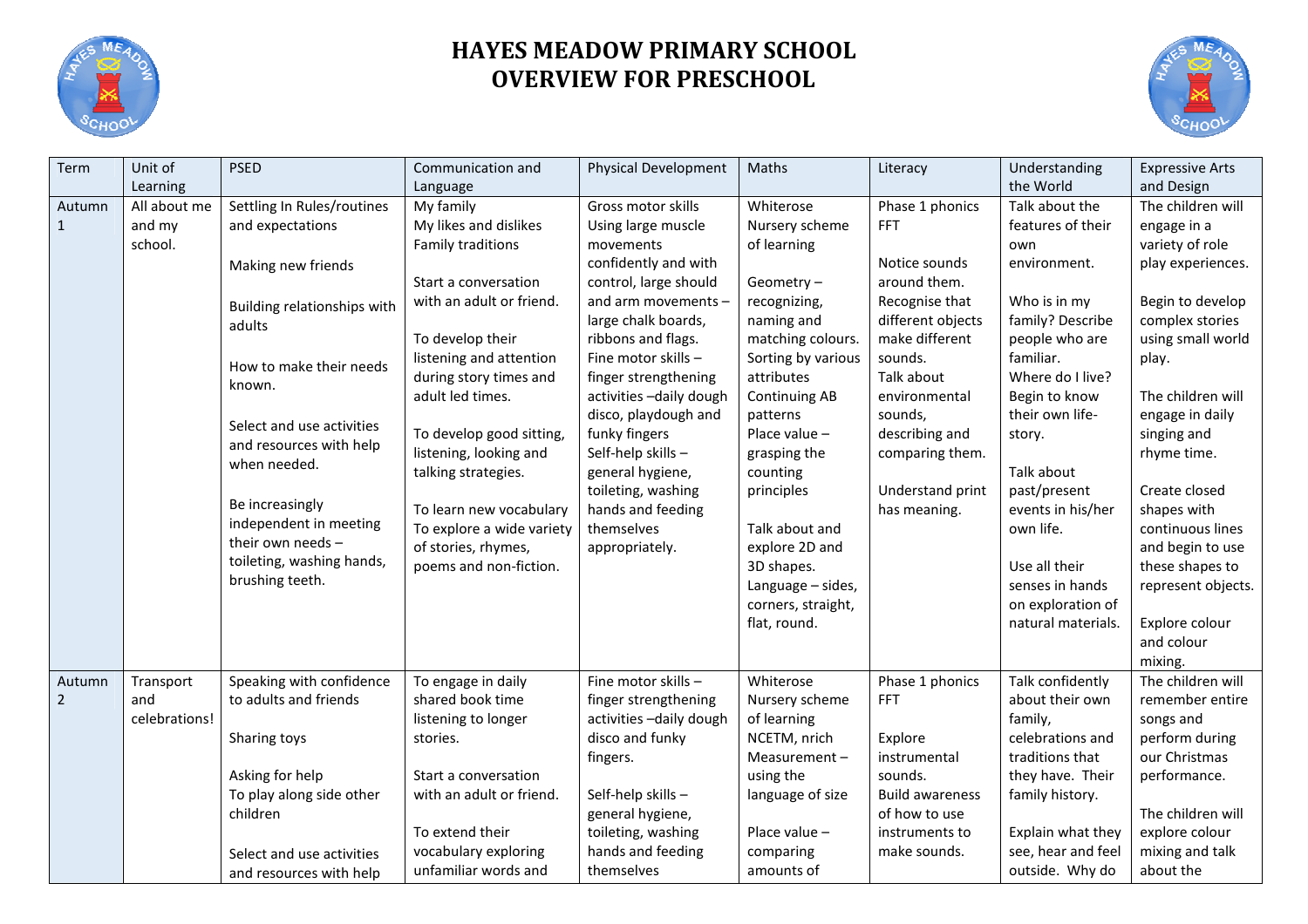

## **HAYES MEADOW PRIMARY SCHOOL OVERVIEW FOR PRESCHOOL**



| Term           | Unit of       | <b>PSED</b>                                 | Communication and         | Physical Development     | Maths                | Literacy               | Understanding      | <b>Expressive Arts</b> |
|----------------|---------------|---------------------------------------------|---------------------------|--------------------------|----------------------|------------------------|--------------------|------------------------|
|                | Learning      |                                             | Language                  |                          |                      |                        | the World          | and Design             |
| Autumn         | All about me  | Settling In Rules/routines                  | My family                 | Gross motor skills       | Whiterose            | Phase 1 phonics        | Talk about the     | The children will      |
| $\mathbf{1}$   | and my        | and expectations                            | My likes and dislikes     | Using large muscle       | Nursery scheme       | <b>FFT</b>             | features of their  | engage in a            |
|                | school.       |                                             | Family traditions         | movements                | of learning          |                        | own                | variety of role        |
|                |               | Making new friends                          |                           | confidently and with     |                      | Notice sounds          | environment.       | play experiences.      |
|                |               |                                             | Start a conversation      | control, large should    | Geometry-            | around them.           |                    |                        |
|                |               | Building relationships with                 | with an adult or friend.  | and arm movements -      | recognizing,         | Recognise that         | Who is in my       | Begin to develop       |
|                |               | adults                                      |                           | large chalk boards,      | naming and           | different objects      | family? Describe   | complex stories        |
|                |               |                                             | To develop their          | ribbons and flags.       | matching colours.    | make different         | people who are     | using small world      |
|                |               | How to make their needs                     | listening and attention   | Fine motor skills -      | Sorting by various   | sounds.                | familiar.          | play.                  |
|                |               | known.                                      | during story times and    | finger strengthening     | attributes           | Talk about             | Where do I live?   |                        |
|                |               |                                             | adult led times.          | activities - daily dough | <b>Continuing AB</b> | environmental          | Begin to know      | The children will      |
|                |               | Select and use activities                   |                           | disco, playdough and     | patterns             | sounds,                | their own life-    | engage in daily        |
|                |               | and resources with help                     | To develop good sitting,  | funky fingers            | Place value -        | describing and         | story.             | singing and            |
|                |               | when needed.                                | listening, looking and    | Self-help skills-        | grasping the         | comparing them.        |                    | rhyme time.            |
|                |               |                                             | talking strategies.       | general hygiene,         | counting             |                        | Talk about         |                        |
|                |               |                                             |                           | toileting, washing       | principles           | Understand print       | past/present       | Create closed          |
|                |               | Be increasingly                             | To learn new vocabulary   | hands and feeding        |                      | has meaning.           | events in his/her  | shapes with            |
|                |               | independent in meeting<br>their own needs - | To explore a wide variety | themselves               | Talk about and       |                        | own life.          | continuous lines       |
|                |               |                                             | of stories, rhymes,       | appropriately.           | explore 2D and       |                        |                    | and begin to use       |
|                |               | toileting, washing hands,                   | poems and non-fiction.    |                          | 3D shapes.           |                        | Use all their      | these shapes to        |
|                |               | brushing teeth.                             |                           |                          | Language - sides,    |                        | senses in hands    | represent objects.     |
|                |               |                                             |                           |                          | corners, straight,   |                        | on exploration of  |                        |
|                |               |                                             |                           |                          | flat, round.         |                        | natural materials. | Explore colour         |
|                |               |                                             |                           |                          |                      |                        |                    | and colour             |
|                |               |                                             |                           |                          |                      |                        |                    | mixing.                |
| Autumn         | Transport     | Speaking with confidence                    | To engage in daily        | Fine motor skills -      | Whiterose            | Phase 1 phonics        | Talk confidently   | The children will      |
| $\overline{2}$ | and           | to adults and friends                       | shared book time          | finger strengthening     | Nursery scheme       | <b>FFT</b>             | about their own    | remember entire        |
|                | celebrations! |                                             | listening to longer       | activities - daily dough | of learning          |                        | family,            | songs and              |
|                |               | Sharing toys                                | stories.                  | disco and funky          | NCETM, nrich         | Explore                | celebrations and   | perform during         |
|                |               |                                             |                           | fingers.                 | Measurement-         | instrumental           | traditions that    | our Christmas          |
|                |               | Asking for help                             | Start a conversation      |                          | using the            | sounds.                | they have. Their   | performance.           |
|                |               | To play along side other                    | with an adult or friend.  | Self-help skills-        | language of size     | <b>Build awareness</b> | family history.    |                        |
|                |               | children                                    |                           | general hygiene,         |                      | of how to use          |                    | The children will      |
|                |               |                                             | To extend their           | toileting, washing       | Place value -        | instruments to         | Explain what they  | explore colour         |
|                |               | Select and use activities                   | vocabulary exploring      | hands and feeding        | comparing            | make sounds.           | see, hear and feel | mixing and talk        |
|                |               | and resources with help                     | unfamiliar words and      | themselves               | amounts of           |                        | outside. Why do    | about the              |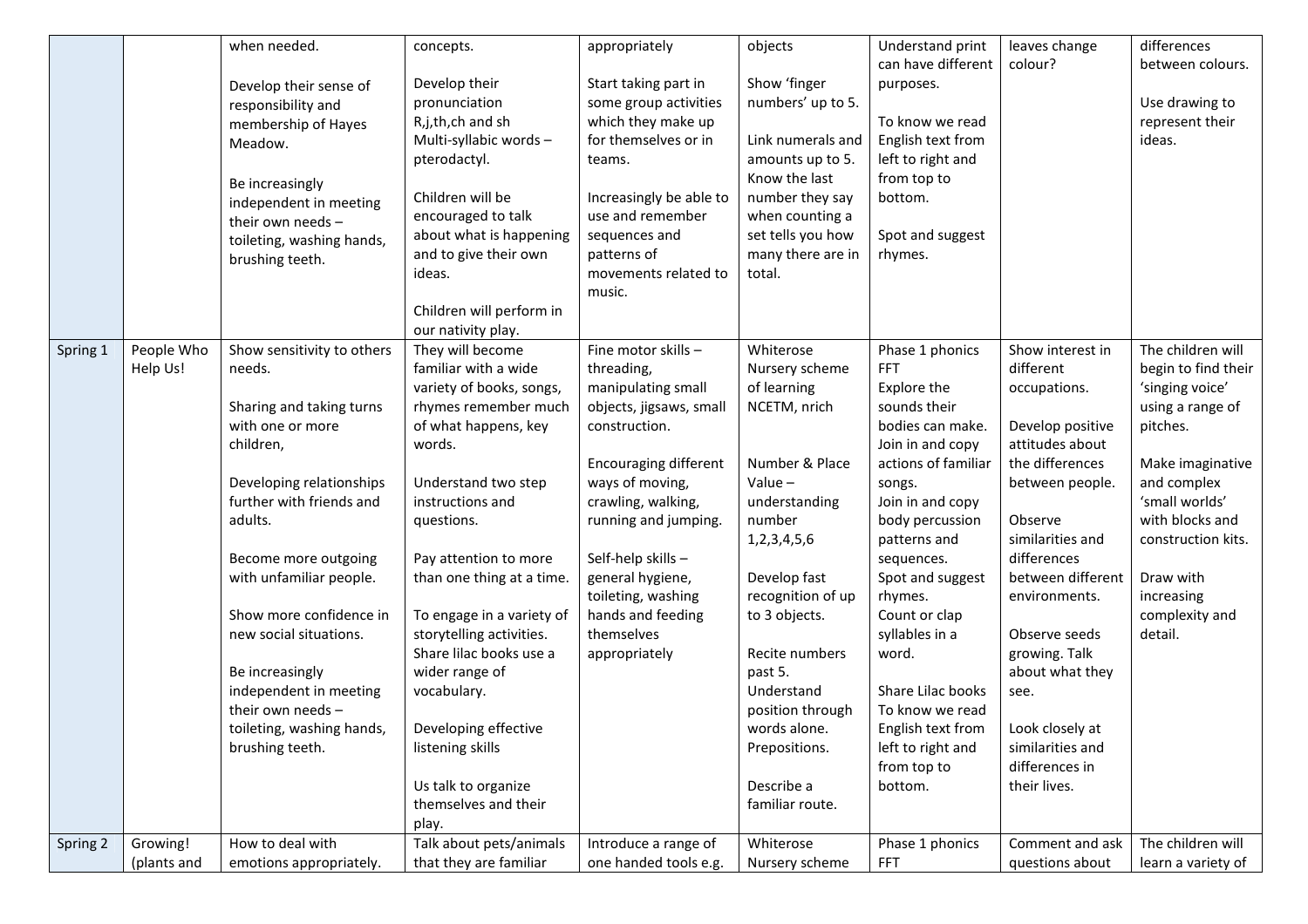|          |             | when needed.                              | concepts.                      | appropriately                | objects           | Understand print                     | leaves change                       | differences         |
|----------|-------------|-------------------------------------------|--------------------------------|------------------------------|-------------------|--------------------------------------|-------------------------------------|---------------------|
|          |             |                                           | Develop their                  | Start taking part in         | Show 'finger      | can have different                   | colour?                             | between colours.    |
|          |             | Develop their sense of                    | pronunciation                  | some group activities        | numbers' up to 5. | purposes.                            |                                     | Use drawing to      |
|          |             | responsibility and<br>membership of Hayes | R,j,th,ch and sh               | which they make up           |                   | To know we read                      |                                     | represent their     |
|          |             | Meadow.                                   | Multi-syllabic words-          | for themselves or in         | Link numerals and | English text from                    |                                     | ideas.              |
|          |             |                                           | pterodactyl.                   | teams.                       | amounts up to 5.  | left to right and                    |                                     |                     |
|          |             |                                           |                                |                              | Know the last     | from top to                          |                                     |                     |
|          |             | Be increasingly<br>independent in meeting | Children will be               | Increasingly be able to      | number they say   | bottom.                              |                                     |                     |
|          |             | their own needs -                         | encouraged to talk             | use and remember             | when counting a   |                                      |                                     |                     |
|          |             | toileting, washing hands,                 | about what is happening        | sequences and                | set tells you how | Spot and suggest                     |                                     |                     |
|          |             | brushing teeth.                           | and to give their own          | patterns of                  | many there are in | rhymes.                              |                                     |                     |
|          |             |                                           | ideas.                         | movements related to         | total.            |                                      |                                     |                     |
|          |             |                                           |                                | music.                       |                   |                                      |                                     |                     |
|          |             |                                           | Children will perform in       |                              |                   |                                      |                                     |                     |
|          |             |                                           | our nativity play.             |                              |                   |                                      |                                     |                     |
| Spring 1 | People Who  | Show sensitivity to others                | They will become               | Fine motor skills -          | Whiterose         | Phase 1 phonics                      | Show interest in                    | The children will   |
|          | Help Us!    | needs.                                    | familiar with a wide           | threading,                   | Nursery scheme    | <b>FFT</b>                           | different                           | begin to find their |
|          |             |                                           | variety of books, songs,       | manipulating small           | of learning       | Explore the                          | occupations.                        | 'singing voice'     |
|          |             | Sharing and taking turns                  | rhymes remember much           | objects, jigsaws, small      | NCETM, nrich      | sounds their                         |                                     | using a range of    |
|          |             | with one or more<br>children,             | of what happens, key<br>words. | construction.                |                   | bodies can make.<br>Join in and copy | Develop positive<br>attitudes about | pitches.            |
|          |             |                                           |                                | <b>Encouraging different</b> | Number & Place    | actions of familiar                  | the differences                     | Make imaginative    |
|          |             | Developing relationships                  | Understand two step            | ways of moving,              | Value $-$         | songs.                               | between people.                     | and complex         |
|          |             | further with friends and                  | instructions and               | crawling, walking,           | understanding     | Join in and copy                     |                                     | 'small worlds'      |
|          |             | adults.                                   | questions.                     | running and jumping.         | number            | body percussion                      | Observe                             | with blocks and     |
|          |             |                                           |                                |                              | 1,2,3,4,5,6       | patterns and                         | similarities and                    | construction kits.  |
|          |             | Become more outgoing                      | Pay attention to more          | Self-help skills-            |                   | sequences.                           | differences                         |                     |
|          |             | with unfamiliar people.                   | than one thing at a time.      | general hygiene,             | Develop fast      | Spot and suggest                     | between different                   | Draw with           |
|          |             |                                           |                                | toileting, washing           | recognition of up | rhymes.                              | environments.                       | increasing          |
|          |             | Show more confidence in                   | To engage in a variety of      | hands and feeding            | to 3 objects.     | Count or clap                        |                                     | complexity and      |
|          |             | new social situations.                    | storytelling activities.       | themselves                   |                   | syllables in a                       | Observe seeds                       | detail.             |
|          |             |                                           | Share lilac books use a        | appropriately                | Recite numbers    | word.                                | growing. Talk                       |                     |
|          |             | Be increasingly                           | wider range of                 |                              | past 5.           |                                      | about what they                     |                     |
|          |             | independent in meeting                    | vocabulary.                    |                              | Understand        | Share Lilac books                    | see.                                |                     |
|          |             | their own needs -                         |                                |                              | position through  | To know we read                      |                                     |                     |
|          |             | toileting, washing hands,                 | Developing effective           |                              | words alone.      | English text from                    | Look closely at                     |                     |
|          |             | brushing teeth.                           | listening skills               |                              | Prepositions.     | left to right and<br>from top to     | similarities and<br>differences in  |                     |
|          |             |                                           | Us talk to organize            |                              | Describe a        | bottom.                              | their lives.                        |                     |
|          |             |                                           | themselves and their           |                              | familiar route.   |                                      |                                     |                     |
|          |             |                                           | play.                          |                              |                   |                                      |                                     |                     |
| Spring 2 | Growing!    | How to deal with                          | Talk about pets/animals        | Introduce a range of         | Whiterose         | Phase 1 phonics                      | Comment and ask                     | The children will   |
|          | (plants and | emotions appropriately.                   | that they are familiar         | one handed tools e.g.        | Nursery scheme    | <b>FFT</b>                           | questions about                     | learn a variety of  |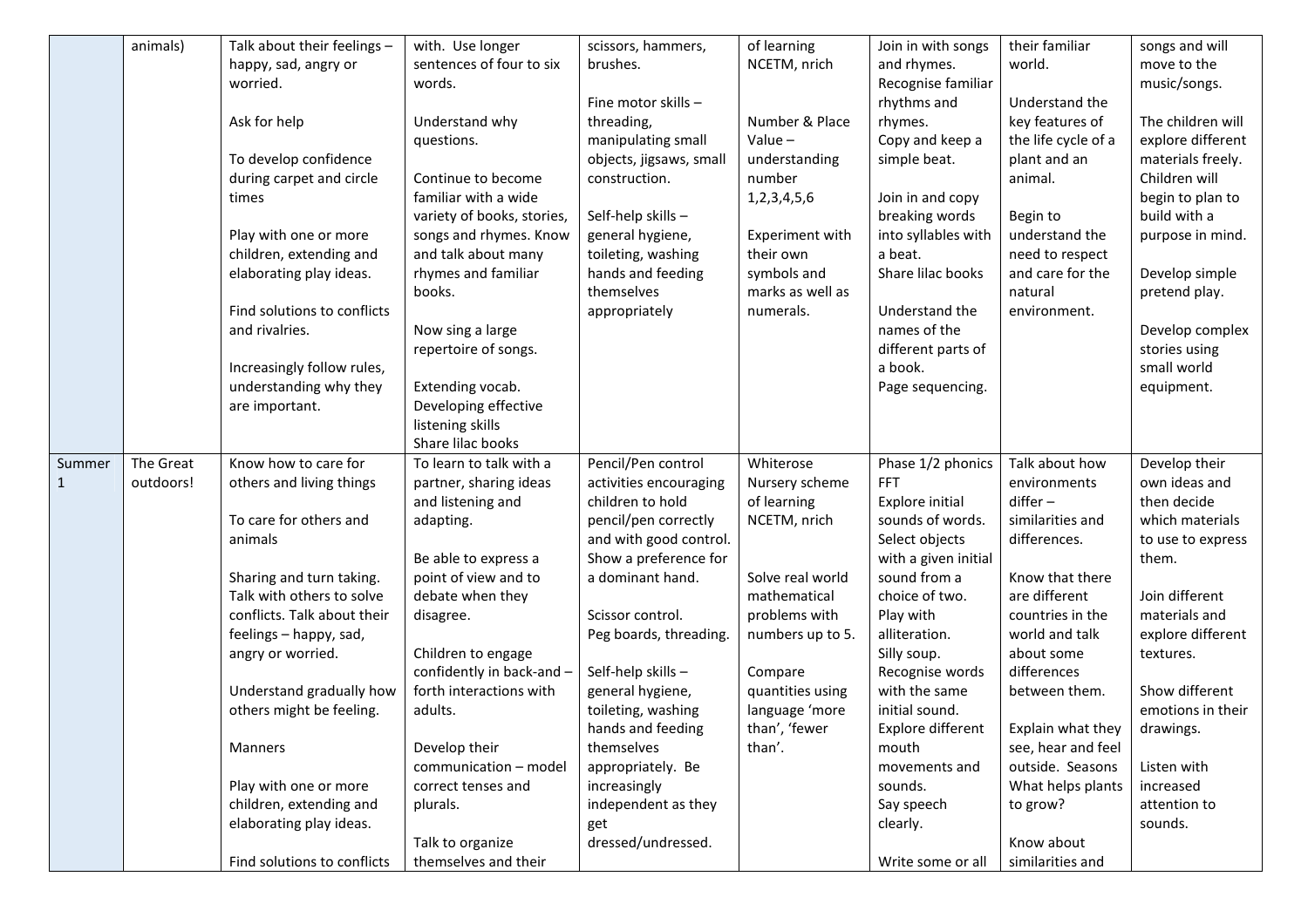|              | animals)  | Talk about their feelings -                 | with. Use longer           | scissors, hammers,      | of learning                   | Join in with songs          | their familiar                     | songs and will                  |
|--------------|-----------|---------------------------------------------|----------------------------|-------------------------|-------------------------------|-----------------------------|------------------------------------|---------------------------------|
|              |           | happy, sad, angry or                        | sentences of four to six   | brushes.                | NCETM, nrich                  | and rhymes.                 | world.                             | move to the                     |
|              |           | worried.                                    | words.                     |                         |                               | Recognise familiar          |                                    | music/songs.                    |
|              |           |                                             |                            | Fine motor skills -     |                               | rhythms and                 | Understand the                     |                                 |
|              |           | Ask for help                                | Understand why             | threading,              | Number & Place                | rhymes.                     | key features of                    | The children will               |
|              |           |                                             | questions.                 | manipulating small      | Value $-$                     | Copy and keep a             | the life cycle of a                | explore different               |
|              |           | To develop confidence                       |                            | objects, jigsaws, small | understanding                 | simple beat.                | plant and an                       | materials freely.               |
|              |           | during carpet and circle                    | Continue to become         | construction.           | number                        |                             | animal.                            | Children will                   |
|              |           | times                                       | familiar with a wide       |                         | 1,2,3,4,5,6                   | Join in and copy            |                                    | begin to plan to                |
|              |           |                                             | variety of books, stories, | Self-help skills-       |                               | breaking words              | Begin to                           | build with a                    |
|              |           | Play with one or more                       | songs and rhymes. Know     | general hygiene,        | Experiment with               | into syllables with         | understand the                     | purpose in mind.                |
|              |           | children, extending and                     | and talk about many        | toileting, washing      | their own                     | a beat.                     | need to respect                    |                                 |
|              |           | elaborating play ideas.                     | rhymes and familiar        | hands and feeding       | symbols and                   | Share lilac books           | and care for the                   | Develop simple                  |
|              |           |                                             | books.                     | themselves              | marks as well as              |                             | natural                            | pretend play.                   |
|              |           | Find solutions to conflicts                 |                            | appropriately           | numerals.                     | Understand the              | environment.                       |                                 |
|              |           | and rivalries.                              | Now sing a large           |                         |                               | names of the                |                                    | Develop complex                 |
|              |           |                                             | repertoire of songs.       |                         |                               | different parts of          |                                    | stories using                   |
|              |           | Increasingly follow rules,                  |                            |                         |                               | a book.                     |                                    | small world                     |
|              |           | understanding why they                      | Extending vocab.           |                         |                               | Page sequencing.            |                                    | equipment.                      |
|              |           | are important.                              | Developing effective       |                         |                               |                             |                                    |                                 |
|              |           |                                             | listening skills           |                         |                               |                             |                                    |                                 |
|              |           |                                             | Share lilac books          |                         |                               |                             |                                    |                                 |
| Summer       | The Great | Know how to care for                        | To learn to talk with a    | Pencil/Pen control      | Whiterose                     | Phase 1/2 phonics           | Talk about how                     | Develop their                   |
| $\mathbf{1}$ | outdoors! | others and living things                    | partner, sharing ideas     | activities encouraging  | Nursery scheme                | <b>FFT</b>                  | environments                       | own ideas and                   |
|              |           |                                             | and listening and          | children to hold        | of learning                   | Explore initial             | $d$ iffer $-$                      | then decide                     |
|              |           | To care for others and                      | adapting.                  | pencil/pen correctly    | NCETM, nrich                  | sounds of words.            | similarities and                   | which materials                 |
|              |           | animals                                     |                            | and with good control.  |                               | Select objects              | differences.                       | to use to express               |
|              |           |                                             | Be able to express a       | Show a preference for   |                               | with a given initial        |                                    | them.                           |
|              |           | Sharing and turn taking.                    | point of view and to       | a dominant hand.        | Solve real world              | sound from a                | Know that there                    |                                 |
|              |           | Talk with others to solve                   | debate when they           |                         | mathematical<br>problems with | choice of two.<br>Play with | are different                      | Join different<br>materials and |
|              |           | conflicts. Talk about their                 | disagree.                  | Scissor control.        |                               | alliteration.               | countries in the<br>world and talk | explore different               |
|              |           | feelings - happy, sad,<br>angry or worried. | Children to engage         | Peg boards, threading.  | numbers up to 5.              | Silly soup.                 | about some                         | textures.                       |
|              |           |                                             | confidently in back-and -  | Self-help skills-       | Compare                       | Recognise words             | differences                        |                                 |
|              |           | Understand gradually how                    | forth interactions with    | general hygiene,        | quantities using              | with the same               | between them.                      | Show different                  |
|              |           | others might be feeling.                    | adults.                    | toileting, washing      | language 'more                | initial sound.              |                                    | emotions in their               |
|              |           |                                             |                            | hands and feeding       | than', 'fewer                 | Explore different           | Explain what they                  | drawings.                       |
|              |           | Manners                                     | Develop their              | themselves              | than'.                        | mouth                       | see, hear and feel                 |                                 |
|              |           |                                             | communication - model      | appropriately. Be       |                               | movements and               | outside. Seasons                   | Listen with                     |
|              |           | Play with one or more                       | correct tenses and         | increasingly            |                               | sounds.                     | What helps plants                  | increased                       |
|              |           | children, extending and                     | plurals.                   | independent as they     |                               | Say speech                  | to grow?                           | attention to                    |
|              |           | elaborating play ideas.                     |                            | get                     |                               | clearly.                    |                                    | sounds.                         |
|              |           |                                             | Talk to organize           | dressed/undressed.      |                               |                             | Know about                         |                                 |
|              |           |                                             |                            |                         |                               |                             |                                    |                                 |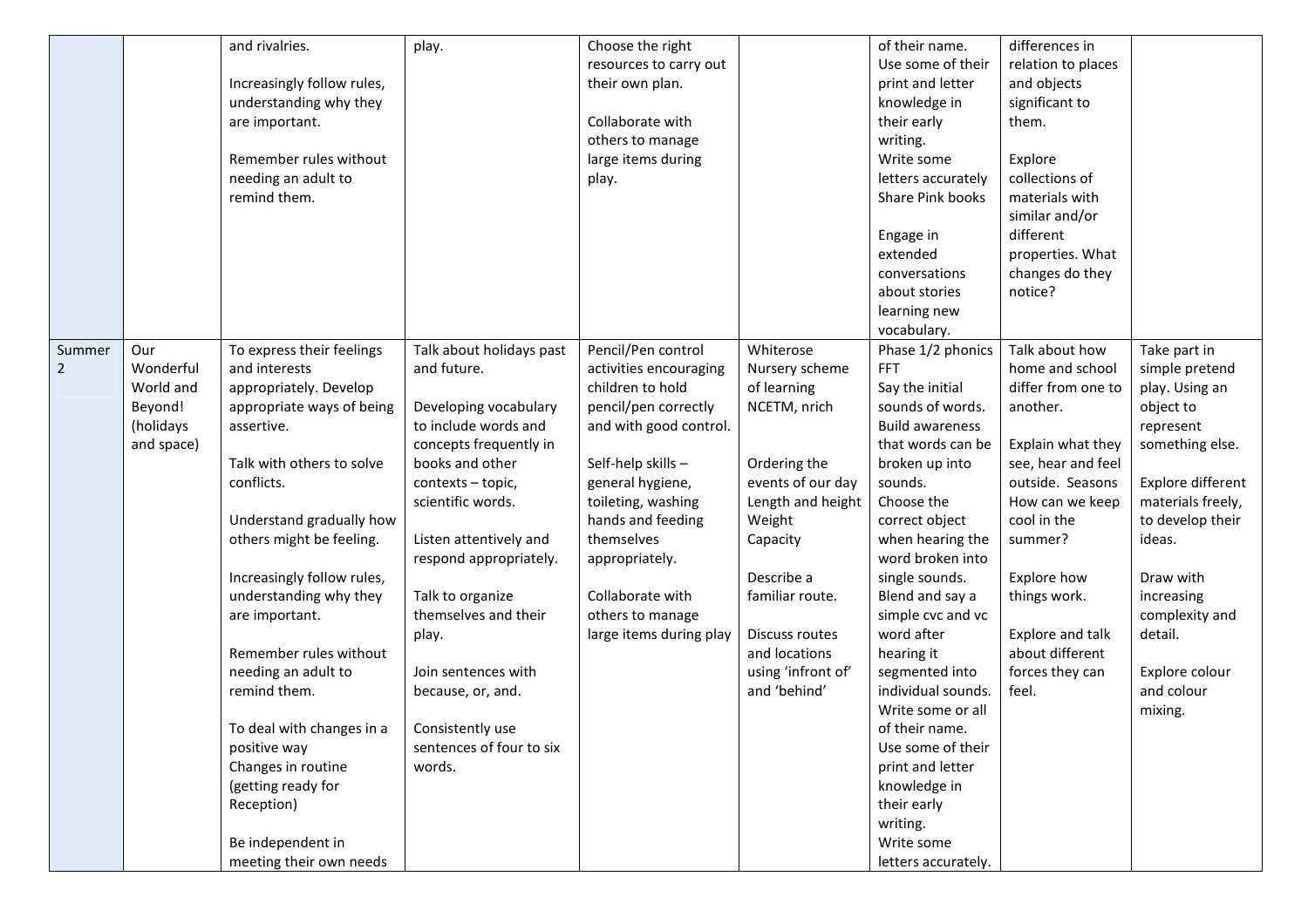|                |            | and rivalries.             | play.                    | Choose the right        |                    | of their name.         | differences in     |                   |
|----------------|------------|----------------------------|--------------------------|-------------------------|--------------------|------------------------|--------------------|-------------------|
|                |            |                            |                          | resources to carry out  |                    | Use some of their      | relation to places |                   |
|                |            | Increasingly follow rules, |                          | their own plan.         |                    | print and letter       | and objects        |                   |
|                |            | understanding why they     |                          |                         |                    | knowledge in           | significant to     |                   |
|                |            | are important.             |                          | Collaborate with        |                    | their early            | them.              |                   |
|                |            |                            |                          | others to manage        |                    | writing.               |                    |                   |
|                |            | Remember rules without     |                          | large items during      |                    | Write some             | Explore            |                   |
|                |            | needing an adult to        |                          | play.                   |                    | letters accurately     | collections of     |                   |
|                |            | remind them.               |                          |                         |                    | Share Pink books       | materials with     |                   |
|                |            |                            |                          |                         |                    |                        | similar and/or     |                   |
|                |            |                            |                          |                         |                    | Engage in              | different          |                   |
|                |            |                            |                          |                         |                    | extended               | properties. What   |                   |
|                |            |                            |                          |                         |                    | conversations          | changes do they    |                   |
|                |            |                            |                          |                         |                    | about stories          | notice?            |                   |
|                |            |                            |                          |                         |                    | learning new           |                    |                   |
|                |            |                            |                          |                         |                    | vocabulary.            |                    |                   |
| Summer         | Our        | To express their feelings  | Talk about holidays past | Pencil/Pen control      | Whiterose          | Phase 1/2 phonics      | Talk about how     | Take part in      |
| $\overline{2}$ | Wonderful  | and interests              | and future.              | activities encouraging  | Nursery scheme     | <b>FFT</b>             | home and school    | simple pretend    |
|                | World and  | appropriately. Develop     |                          | children to hold        | of learning        | Say the initial        | differ from one to | play. Using an    |
|                | Beyond!    | appropriate ways of being  | Developing vocabulary    | pencil/pen correctly    | NCETM, nrich       | sounds of words.       | another.           | object to         |
|                | (holidays  | assertive.                 | to include words and     | and with good control.  |                    | <b>Build awareness</b> |                    | represent         |
|                | and space) |                            | concepts frequently in   |                         |                    | that words can be      | Explain what they  | something else.   |
|                |            | Talk with others to solve  | books and other          | Self-help skills-       | Ordering the       | broken up into         | see, hear and feel |                   |
|                |            | conflicts.                 | contexts - topic,        | general hygiene,        | events of our day  | sounds.                | outside. Seasons   | Explore different |
|                |            |                            | scientific words.        | toileting, washing      | Length and height  | Choose the             | How can we keep    | materials freely, |
|                |            | Understand gradually how   |                          | hands and feeding       | Weight             | correct object         | cool in the        | to develop their  |
|                |            | others might be feeling.   | Listen attentively and   | themselves              | Capacity           | when hearing the       | summer?            | ideas.            |
|                |            |                            | respond appropriately.   | appropriately.          |                    | word broken into       |                    |                   |
|                |            | Increasingly follow rules, |                          |                         | Describe a         | single sounds.         | Explore how        | Draw with         |
|                |            | understanding why they     | Talk to organize         | Collaborate with        | familiar route.    | Blend and say a        | things work.       | increasing        |
|                |            | are important.             | themselves and their     | others to manage        |                    | simple cvc and vc      |                    | complexity and    |
|                |            |                            | play.                    | large items during play | Discuss routes     | word after             | Explore and talk   | detail.           |
|                |            | Remember rules without     |                          |                         | and locations      | hearing it             | about different    |                   |
|                |            | needing an adult to        | Join sentences with      |                         | using 'infront of' | segmented into         | forces they can    | Explore colour    |
|                |            | remind them.               | because, or, and.        |                         | and 'behind'       | individual sounds.     | feel.              | and colour        |
|                |            |                            |                          |                         |                    | Write some or all      |                    | mixing.           |
|                |            | To deal with changes in a  | Consistently use         |                         |                    | of their name.         |                    |                   |
|                |            | positive way               | sentences of four to six |                         |                    | Use some of their      |                    |                   |
|                |            | Changes in routine         | words.                   |                         |                    | print and letter       |                    |                   |
|                |            | (getting ready for         |                          |                         |                    | knowledge in           |                    |                   |
|                |            | Reception)                 |                          |                         |                    | their early            |                    |                   |
|                |            |                            |                          |                         |                    | writing.               |                    |                   |
|                |            | Be independent in          |                          |                         |                    | Write some             |                    |                   |
|                |            | meeting their own needs    |                          |                         |                    | letters accurately.    |                    |                   |